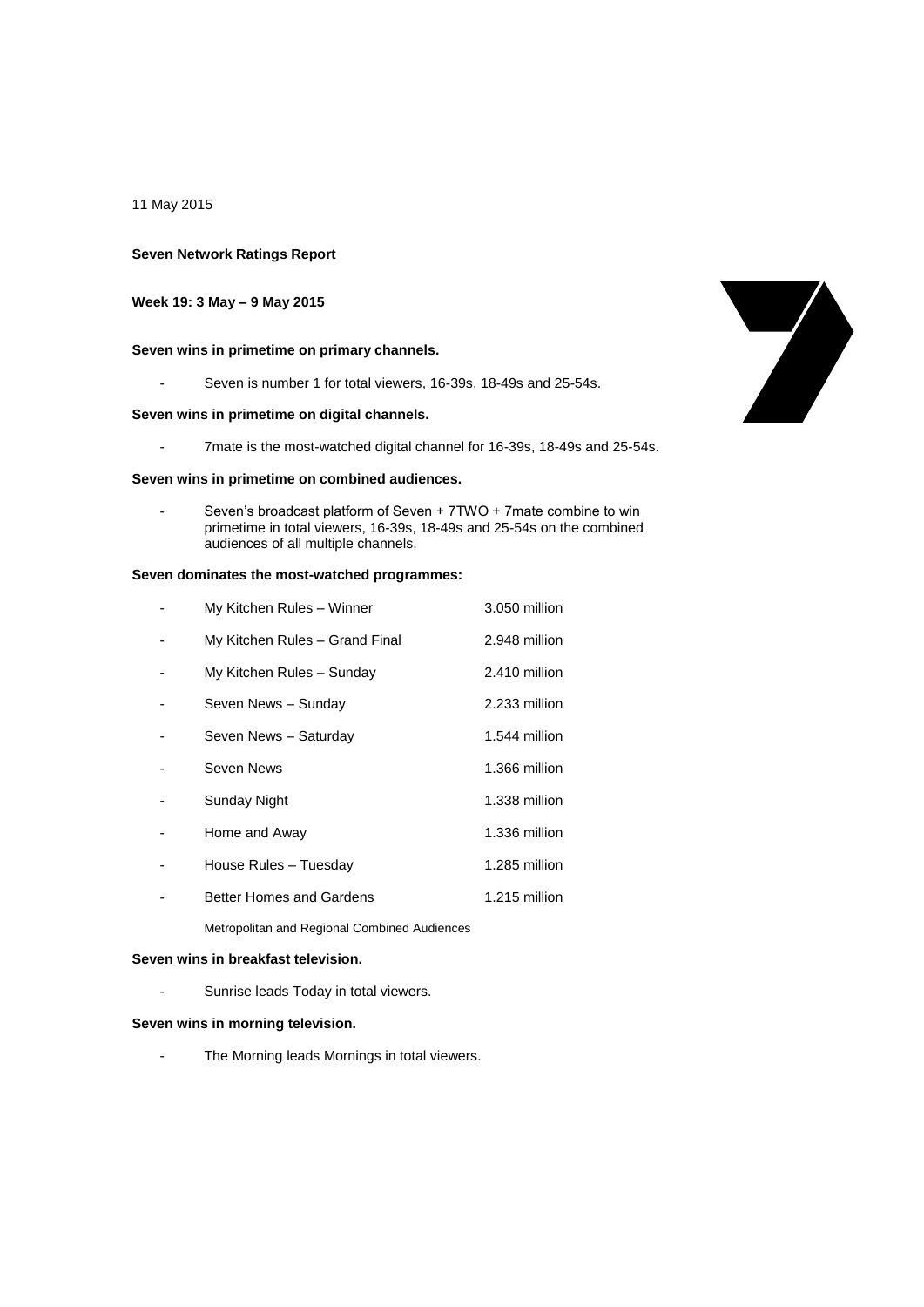11 May 2015

### **Seven Network Ratings Report**

# **Week 19: 3 May – 9 May 2015**

## **Seven wins in primetime on primary channels.**

- Seven is number 1 for total viewers, 16-39s, 18-49s and 25-54s.

## **Seven wins in primetime on digital channels.**

- 7mate is the most-watched digital channel for 16-39s, 18-49s and 25-54s.

#### **Seven wins in primetime on combined audiences.**

Seven's broadcast platform of Seven + 7TWO + 7mate combine to win primetime in total viewers, 16-39s, 18-49s and 25-54s on the combined audiences of all multiple channels.

### **Seven dominates the most-watched programmes:**

| My Kitchen Rules – Winner      | 3.050 million |
|--------------------------------|---------------|
| My Kitchen Rules - Grand Final | 2.948 million |
| My Kitchen Rules - Sunday      | 2.410 million |
| Seven News - Sunday            | 2.233 million |
| Seven News - Saturday          | 1.544 million |
| Seven News                     | 1.366 million |
| Sunday Night                   | 1.338 million |
| Home and Away                  | 1.336 million |
| House Rules - Tuesday          | 1.285 million |
| Better Homes and Gardens       | 1.215 million |
|                                |               |

Metropolitan and Regional Combined Audiences

## **Seven wins in breakfast television.**

- Sunrise leads Today in total viewers.

#### **Seven wins in morning television.**

- The Morning leads Mornings in total viewers.

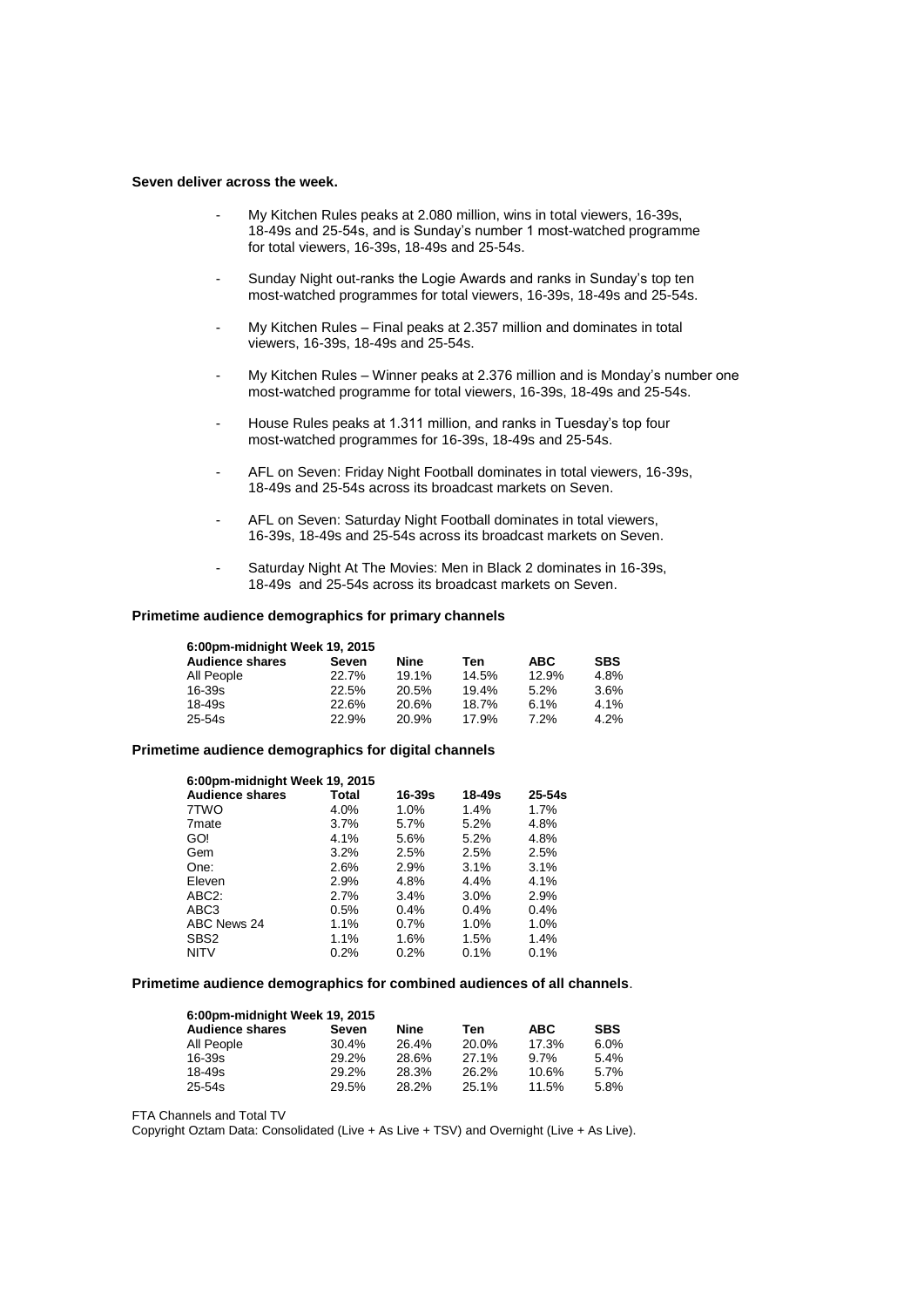#### **Seven deliver across the week.**

- My Kitchen Rules peaks at 2.080 million, wins in total viewers, 16-39s, 18-49s and 25-54s, and is Sunday's number 1 most-watched programme for total viewers, 16-39s, 18-49s and 25-54s.
- Sunday Night out-ranks the Logie Awards and ranks in Sunday's top ten most-watched programmes for total viewers, 16-39s, 18-49s and 25-54s.
- My Kitchen Rules Final peaks at 2.357 million and dominates in total viewers, 16-39s, 18-49s and 25-54s.
- My Kitchen Rules Winner peaks at 2.376 million and is Monday's number one most-watched programme for total viewers, 16-39s, 18-49s and 25-54s.
- House Rules peaks at 1.311 million, and ranks in Tuesday's top four most-watched programmes for 16-39s, 18-49s and 25-54s.
- AFL on Seven: Friday Night Football dominates in total viewers, 16-39s, 18-49s and 25-54s across its broadcast markets on Seven.
- AFL on Seven: Saturday Night Football dominates in total viewers, 16-39s, 18-49s and 25-54s across its broadcast markets on Seven.
- Saturday Night At The Movies: Men in Black 2 dominates in 16-39s, 18-49s and 25-54s across its broadcast markets on Seven.

#### **Primetime audience demographics for primary channels**

| 6.00pm-midnight Week 19, 2015 |       |       |       |            |            |  |
|-------------------------------|-------|-------|-------|------------|------------|--|
| <b>Audience shares</b>        | Seven | Nine  | Ten   | <b>ABC</b> | <b>SBS</b> |  |
| All People                    | 22.7% | 19.1% | 14.5% | 12.9%      | 4.8%       |  |
| $16 - 39s$                    | 22.5% | 20.5% | 19.4% | 5.2%       | 3.6%       |  |
| $18 - 49s$                    | 22.6% | 20.6% | 18.7% | 6.1%       | 4.1%       |  |
| $25 - 54s$                    | 22.9% | 20.9% | 17.9% | 7.2%       | 4.2%       |  |

#### **Primetime audience demographics for digital channels**

| 6:00pm-midnight Week 19, 2015 |        |        |          |  |  |  |
|-------------------------------|--------|--------|----------|--|--|--|
| Total                         | 16-39s | 18-49s | $25-54s$ |  |  |  |
| 4.0%                          | 1.0%   | 1.4%   | 1.7%     |  |  |  |
| 3.7%                          | 5.7%   | 5.2%   | 4.8%     |  |  |  |
| 4.1%                          | 5.6%   | 5.2%   | 4.8%     |  |  |  |
| $3.2\%$                       | 2.5%   | 2.5%   | 2.5%     |  |  |  |
| 2.6%                          | 2.9%   | 3.1%   | 3.1%     |  |  |  |
| 2.9%                          | 4.8%   | 4.4%   | 4.1%     |  |  |  |
| 2.7%                          | 3.4%   | 3.0%   | 2.9%     |  |  |  |
| 0.5%                          | 0.4%   | 0.4%   | 0.4%     |  |  |  |
| 1.1%                          | 0.7%   | 1.0%   | 1.0%     |  |  |  |
| 1.1%                          | 1.6%   | 1.5%   | 1.4%     |  |  |  |
| 0.2%                          | 0.2%   | 0.1%   | 0.1%     |  |  |  |
|                               |        |        |          |  |  |  |

#### **Primetime audience demographics for combined audiences of all channels**.

| 6:00pm-midnight Week 19, 2015 |       |       |       |            |            |
|-------------------------------|-------|-------|-------|------------|------------|
| <b>Audience shares</b>        | Seven | Nine  | Ten   | <b>ABC</b> | <b>SBS</b> |
| All People                    | 30.4% | 26.4% | 20.0% | 17.3%      | 6.0%       |
| $16 - 39s$                    | 29.2% | 28.6% | 27.1% | 9.7%       | 5.4%       |
| 18-49s                        | 29.2% | 28.3% | 26.2% | 10.6%      | 5.7%       |
| 25-54s                        | 29.5% | 28.2% | 25.1% | 11.5%      | 5.8%       |

FTA Channels and Total TV

Copyright Oztam Data: Consolidated (Live + As Live + TSV) and Overnight (Live + As Live).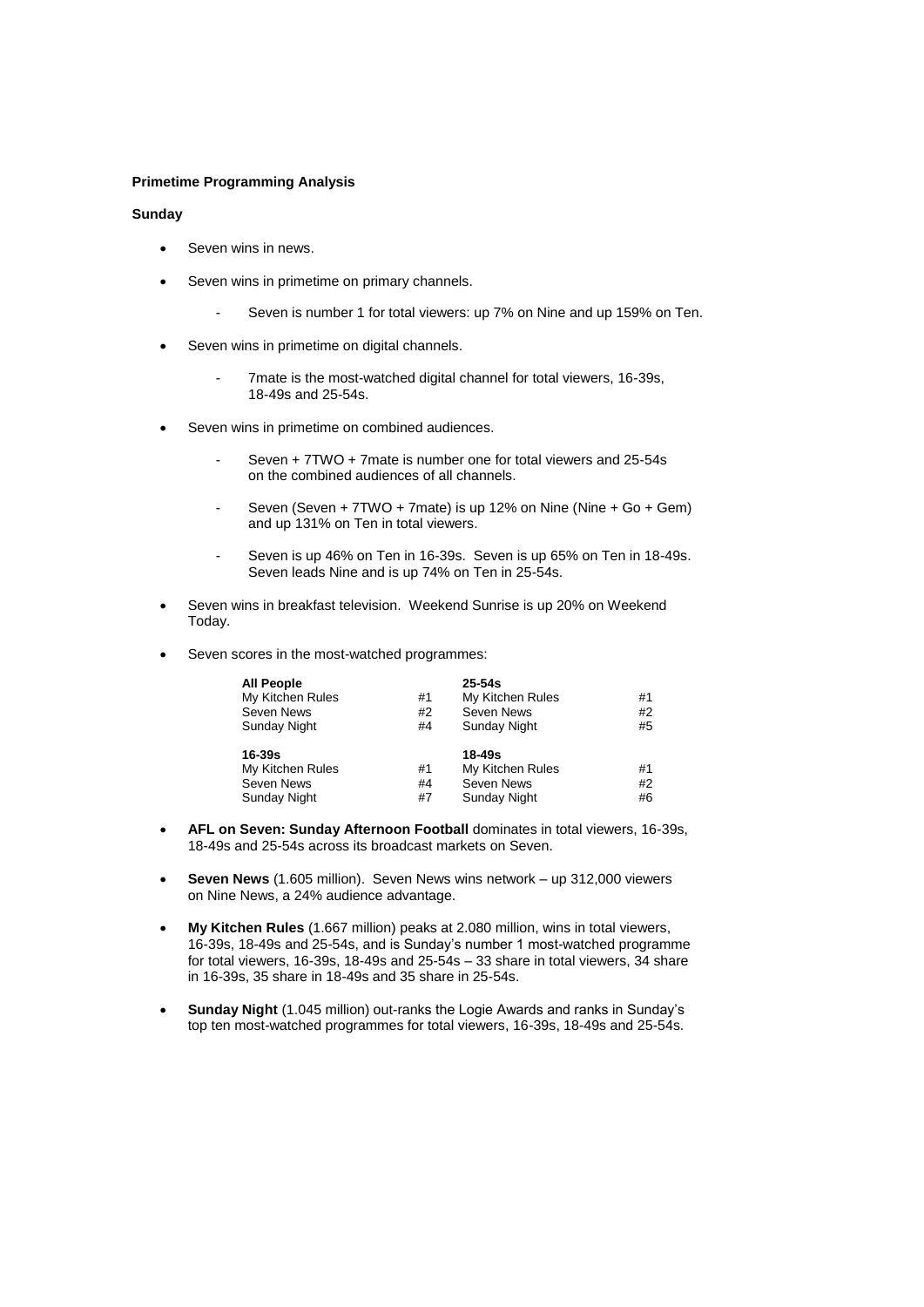### **Primetime Programming Analysis**

## **Sunday**

- Seven wins in news.
- Seven wins in primetime on primary channels.
	- Seven is number 1 for total viewers: up 7% on Nine and up 159% on Ten.
- Seven wins in primetime on digital channels.
	- 7mate is the most-watched digital channel for total viewers, 16-39s, 18-49s and 25-54s.
- Seven wins in primetime on combined audiences.
	- Seven + 7TWO + 7mate is number one for total viewers and 25-54s on the combined audiences of all channels.
	- Seven (Seven + 7TWO + 7mate) is up 12% on Nine (Nine + Go + Gem) and up 131% on Ten in total viewers.
	- Seven is up 46% on Ten in 16-39s. Seven is up 65% on Ten in 18-49s. Seven leads Nine and is up 74% on Ten in 25-54s.
- Seven wins in breakfast television. Weekend Sunrise is up 20% on Weekend Today.
- Seven scores in the most-watched programmes:

| <b>All People</b> |    | $25 - 54s$          |    |
|-------------------|----|---------------------|----|
| My Kitchen Rules  | #1 | My Kitchen Rules    | #1 |
| Seven News        | #2 | Seven News          | #2 |
| Sunday Night      | #4 | Sunday Night        | #5 |
| 16-39s            |    | $18 - 49s$          |    |
| My Kitchen Rules  | #1 | My Kitchen Rules    | #1 |
| Seven News        | #4 | Seven News          | #2 |
| Sunday Night      | #7 | <b>Sunday Night</b> | #6 |

- **AFL on Seven: Sunday Afternoon Football** dominates in total viewers, 16-39s, 18-49s and 25-54s across its broadcast markets on Seven.
- **Seven News** (1.605 million). Seven News wins network up 312,000 viewers on Nine News, a 24% audience advantage.
- **My Kitchen Rules** (1.667 million) peaks at 2.080 million, wins in total viewers, 16-39s, 18-49s and 25-54s, and is Sunday's number 1 most-watched programme for total viewers, 16-39s, 18-49s and 25-54s – 33 share in total viewers, 34 share in 16-39s, 35 share in 18-49s and 35 share in 25-54s.
- **Sunday Night** (1.045 million) out-ranks the Logie Awards and ranks in Sunday's top ten most-watched programmes for total viewers, 16-39s, 18-49s and 25-54s.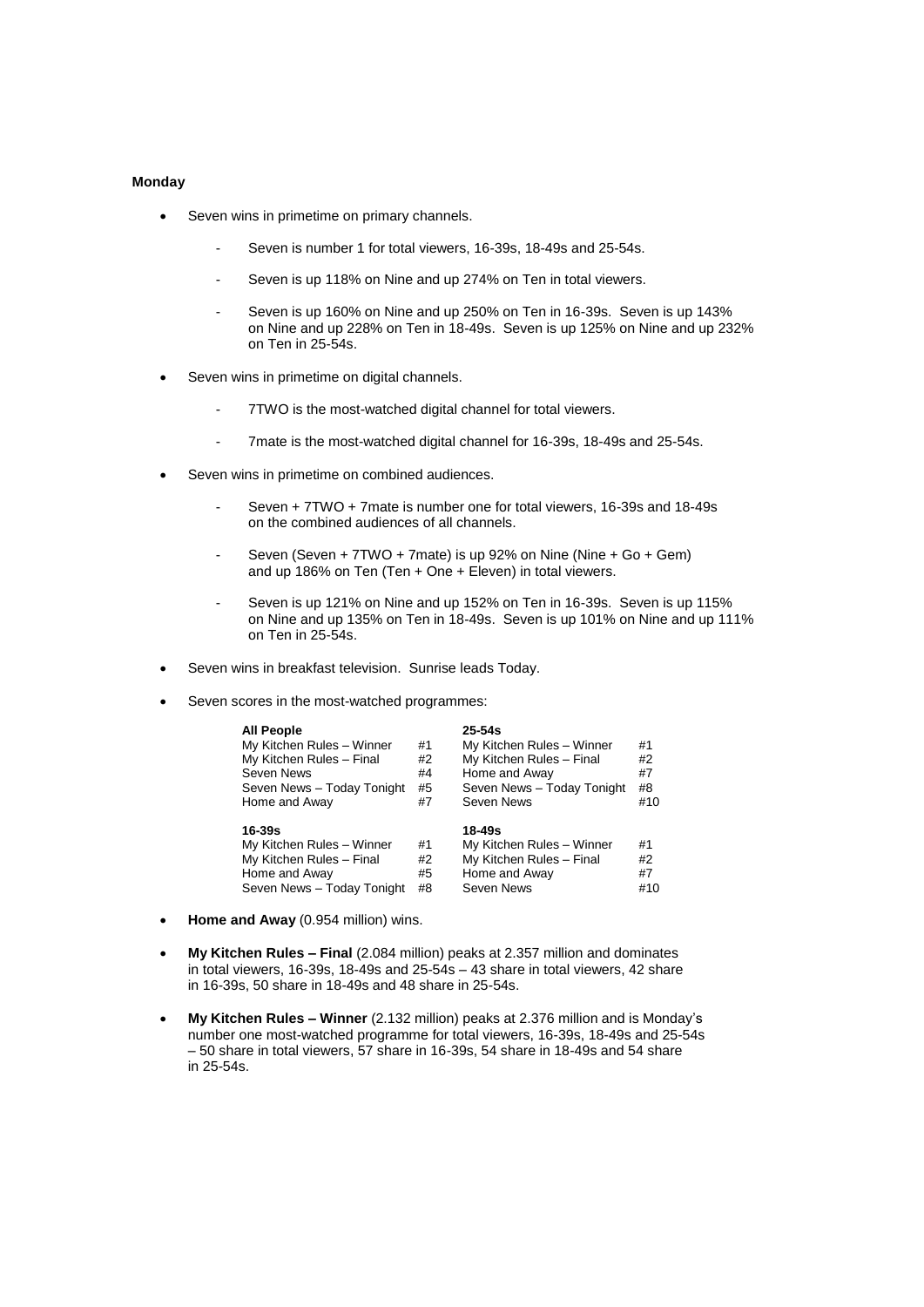### **Monday**

- Seven wins in primetime on primary channels.
	- Seven is number 1 for total viewers, 16-39s, 18-49s and 25-54s.
	- Seven is up 118% on Nine and up 274% on Ten in total viewers.
	- Seven is up 160% on Nine and up 250% on Ten in 16-39s. Seven is up 143% on Nine and up 228% on Ten in 18-49s. Seven is up 125% on Nine and up 232% on Ten in 25-54s.
- Seven wins in primetime on digital channels.
	- 7TWO is the most-watched digital channel for total viewers.
	- 7mate is the most-watched digital channel for 16-39s, 18-49s and 25-54s.
- Seven wins in primetime on combined audiences.
	- Seven + 7TWO + 7mate is number one for total viewers, 16-39s and 18-49s on the combined audiences of all channels.
	- Seven (Seven + 7TWO + 7mate) is up 92% on Nine (Nine + Go + Gem) and up 186% on Ten (Ten + One + Eleven) in total viewers.
	- Seven is up 121% on Nine and up 152% on Ten in 16-39s. Seven is up 115% on Nine and up 135% on Ten in 18-49s. Seven is up 101% on Nine and up 111% on Ten in 25-54s.
- Seven wins in breakfast television. Sunrise leads Today.
- Seven scores in the most-watched programmes:

| <b>All People</b>          |    | $25 - 54s$                 |     |
|----------------------------|----|----------------------------|-----|
| My Kitchen Rules - Winner  | #1 | My Kitchen Rules - Winner  | #1  |
| My Kitchen Rules - Final   | #2 | My Kitchen Rules - Final   | #2  |
| <b>Seven News</b>          | #4 | Home and Away              | #7  |
| Seven News - Today Tonight | #5 | Seven News - Today Tonight | #8  |
| Home and Away              | #7 | Seven News                 | #10 |
| 16-39s                     |    | 18-49s                     |     |
| My Kitchen Rules - Winner  | #1 | My Kitchen Rules - Winner  | #1  |
| My Kitchen Rules - Final   | #2 | My Kitchen Rules - Final   | #2  |
|                            |    |                            |     |
| Home and Away              | #5 | Home and Away              | #7  |

- **Home and Away** (0.954 million) wins.
- **My Kitchen Rules – Final** (2.084 million) peaks at 2.357 million and dominates in total viewers, 16-39s, 18-49s and 25-54s – 43 share in total viewers, 42 share in 16-39s, 50 share in 18-49s and 48 share in 25-54s.
- **My Kitchen Rules – Winner** (2.132 million) peaks at 2.376 million and is Monday's number one most-watched programme for total viewers, 16-39s, 18-49s and 25-54s – 50 share in total viewers, 57 share in 16-39s, 54 share in 18-49s and 54 share in 25-54s.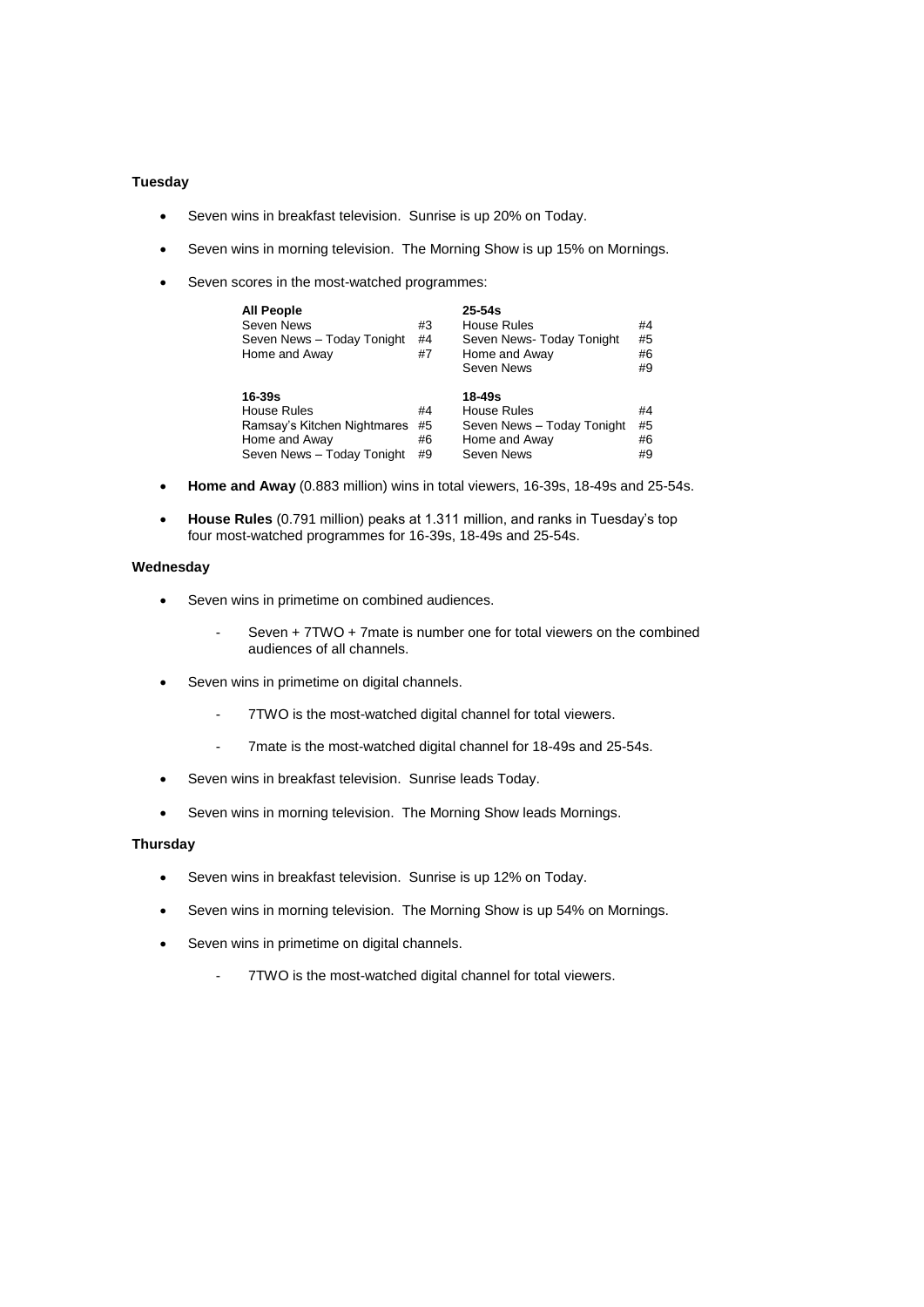### **Tuesday**

- Seven wins in breakfast television. Sunrise is up 20% on Today.
- Seven wins in morning television. The Morning Show is up 15% on Mornings.
- Seven scores in the most-watched programmes:

| <b>All People</b><br>Seven News<br>Seven News - Today Tonight<br>Home and Away                                 | #3<br>#4<br>#7       | $25 - 54s$<br>House Rules<br>Seven News-Today Tonight<br>Home and Away<br>Seven News | #4<br>#5<br>#6<br>#9 |
|----------------------------------------------------------------------------------------------------------------|----------------------|--------------------------------------------------------------------------------------|----------------------|
| $16 - 39s$<br><b>House Rules</b><br>Ramsay's Kitchen Nightmares<br>Home and Away<br>Seven News - Today Tonight | #4<br>#5<br>#6<br>#9 | 18-49s<br>House Rules<br>Seven News - Today Tonight<br>Home and Away<br>Seven News   | #4<br>#5<br>#6<br>#9 |

- **Home and Away** (0.883 million) wins in total viewers, 16-39s, 18-49s and 25-54s.
- **House Rules** (0.791 million) peaks at 1.311 million, and ranks in Tuesday's top four most-watched programmes for 16-39s, 18-49s and 25-54s.

## **Wednesday**

- Seven wins in primetime on combined audiences.
	- Seven + 7TWO + 7mate is number one for total viewers on the combined audiences of all channels.
- Seven wins in primetime on digital channels.
	- 7TWO is the most-watched digital channel for total viewers.
	- 7mate is the most-watched digital channel for 18-49s and 25-54s.
- Seven wins in breakfast television. Sunrise leads Today.
- Seven wins in morning television. The Morning Show leads Mornings.

### **Thursday**

- Seven wins in breakfast television. Sunrise is up 12% on Today.
- Seven wins in morning television. The Morning Show is up 54% on Mornings.
- Seven wins in primetime on digital channels.
	- 7TWO is the most-watched digital channel for total viewers.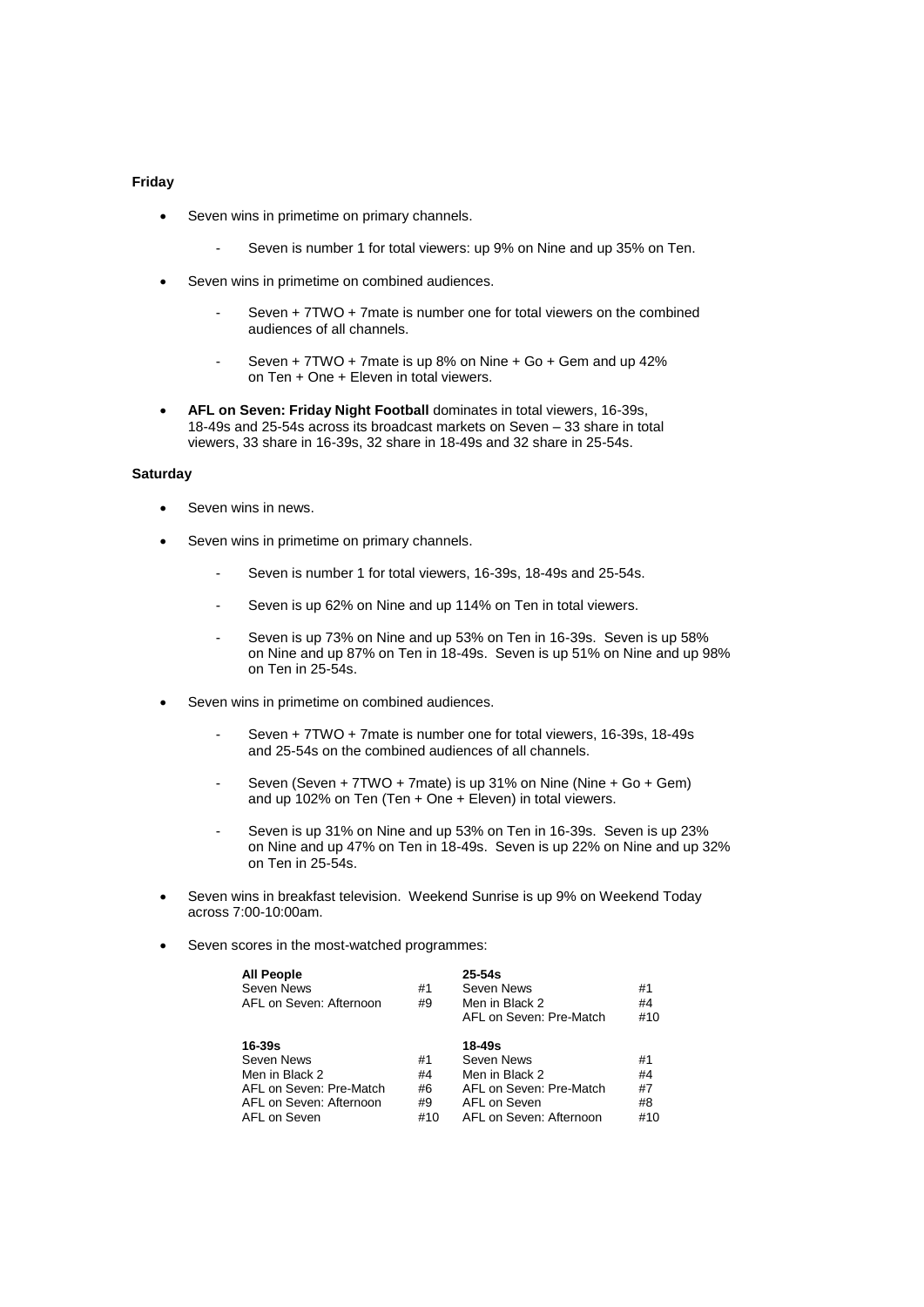#### **Friday**

- Seven wins in primetime on primary channels.
	- Seven is number 1 for total viewers: up 9% on Nine and up 35% on Ten.
- Seven wins in primetime on combined audiences.
	- Seven + 7TWO + 7mate is number one for total viewers on the combined audiences of all channels.
	- Seven + 7TWO + 7mate is up 8% on Nine + Go + Gem and up 42% on Ten + One + Eleven in total viewers.
- **AFL on Seven: Friday Night Football** dominates in total viewers, 16-39s, 18-49s and 25-54s across its broadcast markets on Seven – 33 share in total viewers, 33 share in 16-39s, 32 share in 18-49s and 32 share in 25-54s.

### **Saturday**

- Seven wins in news.
- Seven wins in primetime on primary channels.
	- Seven is number 1 for total viewers, 16-39s, 18-49s and 25-54s.
	- Seven is up 62% on Nine and up 114% on Ten in total viewers.
	- Seven is up 73% on Nine and up 53% on Ten in 16-39s. Seven is up 58% on Nine and up 87% on Ten in 18-49s. Seven is up 51% on Nine and up 98% on Ten in 25-54s.
- Seven wins in primetime on combined audiences.
	- Seven + 7TWO + 7mate is number one for total viewers, 16-39s, 18-49s and 25-54s on the combined audiences of all channels.
	- Seven (Seven + 7TWO + 7mate) is up 31% on Nine (Nine + Go + Gem) and up 102% on Ten (Ten + One + Eleven) in total viewers.
	- Seven is up 31% on Nine and up 53% on Ten in 16-39s. Seven is up 23% on Nine and up 47% on Ten in 18-49s. Seven is up 22% on Nine and up 32% on Ten in 25-54s.
- Seven wins in breakfast television. Weekend Sunrise is up 9% on Weekend Today across 7:00-10:00am.
- Seven scores in the most-watched programmes:

| <b>All People</b><br>Seven News<br>AFL on Seven: Afternoon                                                   | #1<br>#9                    | $25 - 54s$<br>Seven News<br>Men in Black 2<br>AFL on Seven: Pre-Match                                        | #1<br>#4<br>#10             |
|--------------------------------------------------------------------------------------------------------------|-----------------------------|--------------------------------------------------------------------------------------------------------------|-----------------------------|
| 16-39s<br>Seven News<br>Men in Black 2<br>AFL on Seven: Pre-Match<br>AFL on Seven: Afternoon<br>AFL on Seven | #1<br>#4<br>#6<br>#9<br>#10 | 18-49s<br>Seven News<br>Men in Black 2<br>AFL on Seven: Pre-Match<br>AFL on Seven<br>AFL on Seven: Afternoon | #1<br>#4<br>#7<br>#8<br>#10 |